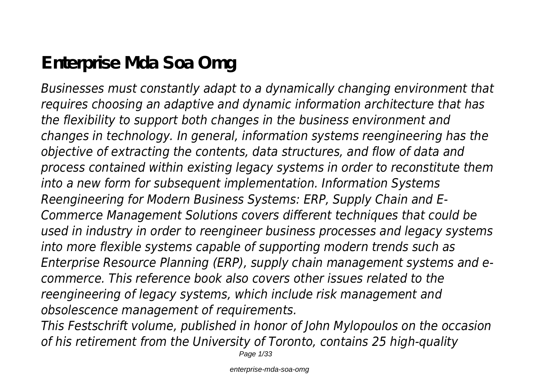# **Enterprise Mda Soa Omg**

*Businesses must constantly adapt to a dynamically changing environment that requires choosing an adaptive and dynamic information architecture that has the flexibility to support both changes in the business environment and changes in technology. In general, information systems reengineering has the objective of extracting the contents, data structures, and flow of data and process contained within existing legacy systems in order to reconstitute them into a new form for subsequent implementation. Information Systems Reengineering for Modern Business Systems: ERP, Supply Chain and E-Commerce Management Solutions covers different techniques that could be used in industry in order to reengineer business processes and legacy systems into more flexible systems capable of supporting modern trends such as Enterprise Resource Planning (ERP), supply chain management systems and ecommerce. This reference book also covers other issues related to the reengineering of legacy systems, which include risk management and obsolescence management of requirements.*

*This Festschrift volume, published in honor of John Mylopoulos on the occasion of his retirement from the University of Toronto, contains 25 high-quality*

Page 1/33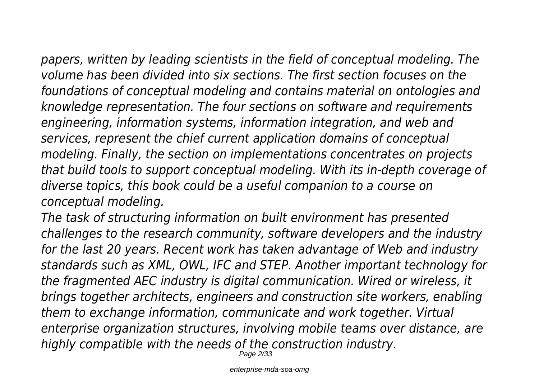## *papers, written by leading scientists in the field of conceptual modeling. The volume has been divided into six sections. The first section focuses on the foundations of conceptual modeling and contains material on ontologies and*

*knowledge representation. The four sections on software and requirements engineering, information systems, information integration, and web and services, represent the chief current application domains of conceptual modeling. Finally, the section on implementations concentrates on projects that build tools to support conceptual modeling. With its in-depth coverage of diverse topics, this book could be a useful companion to a course on conceptual modeling.*

*The task of structuring information on built environment has presented challenges to the research community, software developers and the industry for the last 20 years. Recent work has taken advantage of Web and industry standards such as XML, OWL, IFC and STEP. Another important technology for the fragmented AEC industry is digital communication. Wired or wireless, it brings together architects, engineers and construction site workers, enabling them to exchange information, communicate and work together. Virtual enterprise organization structures, involving mobile teams over distance, are highly compatible with the needs of the construction industry.*

Page 2/33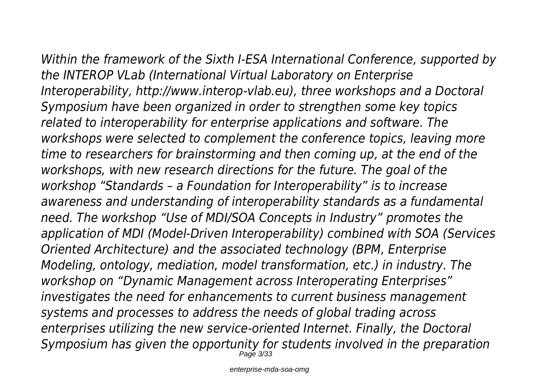*Within the framework of the Sixth I-ESA International Conference, supported by the INTEROP VLab (International Virtual Laboratory on Enterprise Interoperability, http://www.interop-vlab.eu), three workshops and a Doctoral Symposium have been organized in order to strengthen some key topics related to interoperability for enterprise applications and software. The workshops were selected to complement the conference topics, leaving more time to researchers for brainstorming and then coming up, at the end of the workshops, with new research directions for the future. The goal of the workshop "Standards – a Foundation for Interoperability" is to increase awareness and understanding of interoperability standards as a fundamental need. The workshop "Use of MDI/SOA Concepts in Industry" promotes the application of MDI (Model-Driven Interoperability) combined with SOA (Services Oriented Architecture) and the associated technology (BPM, Enterprise Modeling, ontology, mediation, model transformation, etc.) in industry. The workshop on "Dynamic Management across Interoperating Enterprises" investigates the need for enhancements to current business management systems and processes to address the needs of global trading across enterprises utilizing the new service-oriented Internet. Finally, the Doctoral Symposium has given the opportunity for students involved in the preparation* Page 3/33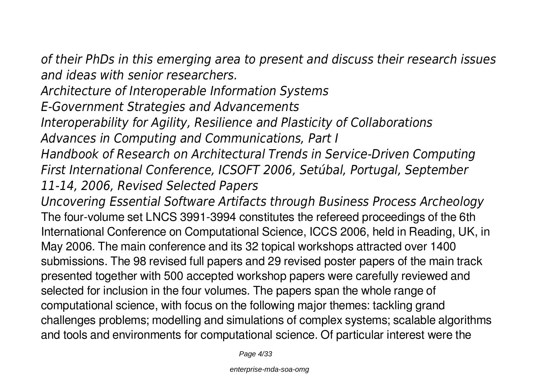*of their PhDs in this emerging area to present and discuss their research issues and ideas with senior researchers.*

*Architecture of Interoperable Information Systems*

*E-Government Strategies and Advancements*

*Interoperability for Agility, Resilience and Plasticity of Collaborations Advances in Computing and Communications, Part I*

*Handbook of Research on Architectural Trends in Service-Driven Computing First International Conference, ICSOFT 2006, Setúbal, Portugal, September 11-14, 2006, Revised Selected Papers*

*Uncovering Essential Software Artifacts through Business Process Archeology* The four-volume set LNCS 3991-3994 constitutes the refereed proceedings of the 6th International Conference on Computational Science, ICCS 2006, held in Reading, UK, in May 2006. The main conference and its 32 topical workshops attracted over 1400 submissions. The 98 revised full papers and 29 revised poster papers of the main track presented together with 500 accepted workshop papers were carefully reviewed and selected for inclusion in the four volumes. The papers span the whole range of computational science, with focus on the following major themes: tackling grand challenges problems; modelling and simulations of complex systems; scalable algorithms and tools and environments for computational science. Of particular interest were the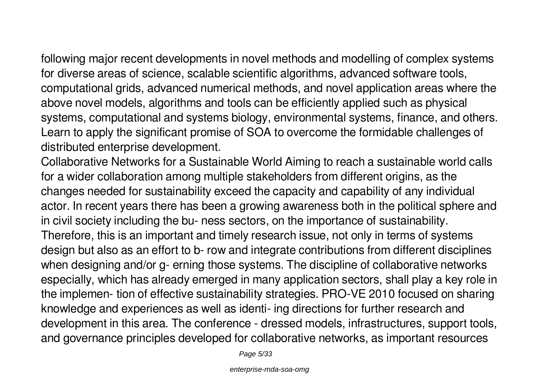following major recent developments in novel methods and modelling of complex systems for diverse areas of science, scalable scientific algorithms, advanced software tools, computational grids, advanced numerical methods, and novel application areas where the above novel models, algorithms and tools can be efficiently applied such as physical systems, computational and systems biology, environmental systems, finance, and others. Learn to apply the significant promise of SOA to overcome the formidable challenges of distributed enterprise development.

Collaborative Networks for a Sustainable World Aiming to reach a sustainable world calls for a wider collaboration among multiple stakeholders from different origins, as the changes needed for sustainability exceed the capacity and capability of any individual actor. In recent years there has been a growing awareness both in the political sphere and in civil society including the bu- ness sectors, on the importance of sustainability. Therefore, this is an important and timely research issue, not only in terms of systems design but also as an effort to b- row and integrate contributions from different disciplines when designing and/or g- erning those systems. The discipline of collaborative networks especially, which has already emerged in many application sectors, shall play a key role in the implemen- tion of effective sustainability strategies. PRO-VE 2010 focused on sharing knowledge and experiences as well as identi- ing directions for further research and development in this area. The conference - dressed models, infrastructures, support tools, and governance principles developed for collaborative networks, as important resources

Page 5/33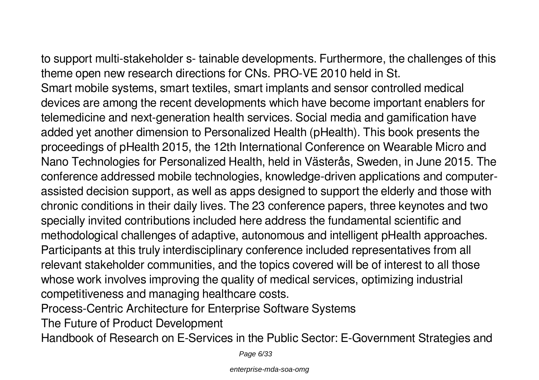to support multi-stakeholder s- tainable developments. Furthermore, the challenges of this theme open new research directions for CNs. PRO-VE 2010 held in St.

Smart mobile systems, smart textiles, smart implants and sensor controlled medical devices are among the recent developments which have become important enablers for telemedicine and next-generation health services. Social media and gamification have added yet another dimension to Personalized Health (pHealth). This book presents the proceedings of pHealth 2015, the 12th International Conference on Wearable Micro and Nano Technologies for Personalized Health, held in Västerås, Sweden, in June 2015. The conference addressed mobile technologies, knowledge-driven applications and computerassisted decision support, as well as apps designed to support the elderly and those with chronic conditions in their daily lives. The 23 conference papers, three keynotes and two specially invited contributions included here address the fundamental scientific and methodological challenges of adaptive, autonomous and intelligent pHealth approaches. Participants at this truly interdisciplinary conference included representatives from all relevant stakeholder communities, and the topics covered will be of interest to all those whose work involves improving the quality of medical services, optimizing industrial competitiveness and managing healthcare costs.

Process-Centric Architecture for Enterprise Software Systems

The Future of Product Development

Handbook of Research on E-Services in the Public Sector: E-Government Strategies and

Page 6/33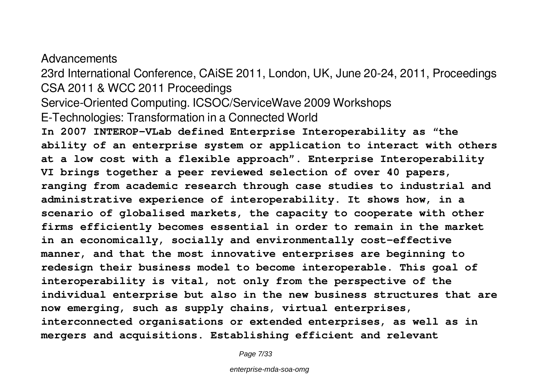Advancements

23rd International Conference, CAiSE 2011, London, UK, June 20-24, 2011, Proceedings CSA 2011 & WCC 2011 Proceedings Service-Oriented Computing. ICSOC/ServiceWave 2009 Workshops E-Technologies: Transformation in a Connected World **In 2007 INTEROP-VLab defined Enterprise Interoperability as "the ability of an enterprise system or application to interact with others at a low cost with a flexible approach". Enterprise Interoperability VI brings together a peer reviewed selection of over 40 papers, ranging from academic research through case studies to industrial and administrative experience of interoperability. It shows how, in a scenario of globalised markets, the capacity to cooperate with other firms efficiently becomes essential in order to remain in the market in an economically, socially and environmentally cost-effective manner, and that the most innovative enterprises are beginning to redesign their business model to become interoperable. This goal of interoperability is vital, not only from the perspective of the individual enterprise but also in the new business structures that are now emerging, such as supply chains, virtual enterprises, interconnected organisations or extended enterprises, as well as in mergers and acquisitions. Establishing efficient and relevant**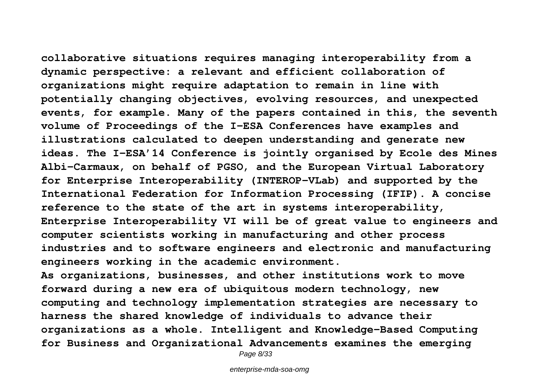**collaborative situations requires managing interoperability from a dynamic perspective: a relevant and efficient collaboration of organizations might require adaptation to remain in line with potentially changing objectives, evolving resources, and unexpected events, for example. Many of the papers contained in this, the seventh volume of Proceedings of the I-ESA Conferences have examples and illustrations calculated to deepen understanding and generate new ideas. The I-ESA'14 Conference is jointly organised by Ecole des Mines Albi-Carmaux, on behalf of PGSO, and the European Virtual Laboratory for Enterprise Interoperability (INTEROP-VLab) and supported by the International Federation for Information Processing (IFIP). A concise reference to the state of the art in systems interoperability, Enterprise Interoperability VI will be of great value to engineers and computer scientists working in manufacturing and other process industries and to software engineers and electronic and manufacturing engineers working in the academic environment. As organizations, businesses, and other institutions work to move**

**forward during a new era of ubiquitous modern technology, new computing and technology implementation strategies are necessary to harness the shared knowledge of individuals to advance their organizations as a whole. Intelligent and Knowledge-Based Computing for Business and Organizational Advancements examines the emerging**

Page 8/33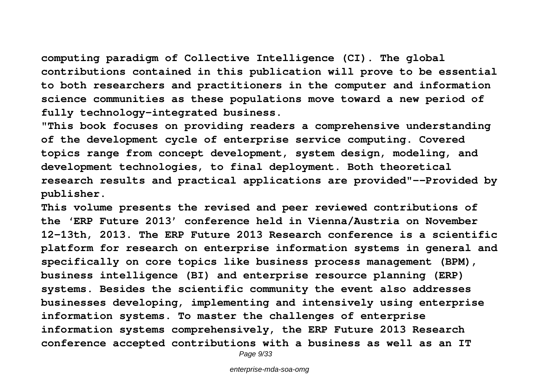**computing paradigm of Collective Intelligence (CI). The global contributions contained in this publication will prove to be essential to both researchers and practitioners in the computer and information science communities as these populations move toward a new period of fully technology-integrated business.**

**"This book focuses on providing readers a comprehensive understanding of the development cycle of enterprise service computing. Covered topics range from concept development, system design, modeling, and development technologies, to final deployment. Both theoretical research results and practical applications are provided"--Provided by publisher.**

**This volume presents the revised and peer reviewed contributions of the 'ERP Future 2013' conference held in Vienna/Austria on November 12-13th, 2013. The ERP Future 2013 Research conference is a scientific platform for research on enterprise information systems in general and specifically on core topics like business process management (BPM), business intelligence (BI) and enterprise resource planning (ERP) systems. Besides the scientific community the event also addresses businesses developing, implementing and intensively using enterprise information systems. To master the challenges of enterprise information systems comprehensively, the ERP Future 2013 Research conference accepted contributions with a business as well as an IT**

Page 9/33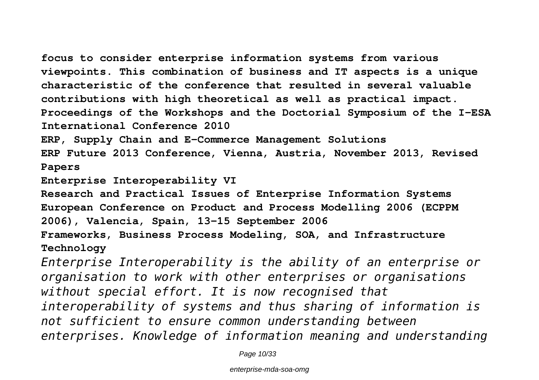**focus to consider enterprise information systems from various viewpoints. This combination of business and IT aspects is a unique characteristic of the conference that resulted in several valuable contributions with high theoretical as well as practical impact. Proceedings of the Workshops and the Doctorial Symposium of the I-ESA International Conference 2010 ERP, Supply Chain and E-Commerce Management Solutions ERP Future 2013 Conference, Vienna, Austria, November 2013, Revised Papers Enterprise Interoperability VI Research and Practical Issues of Enterprise Information Systems European Conference on Product and Process Modelling 2006 (ECPPM 2006), Valencia, Spain, 13-15 September 2006 Frameworks, Business Process Modeling, SOA, and Infrastructure Technology** *Enterprise Interoperability is the ability of an enterprise or organisation to work with other enterprises or organisations without special effort. It is now recognised that interoperability of systems and thus sharing of information is not sufficient to ensure common understanding between enterprises. Knowledge of information meaning and understanding*

Page 10/33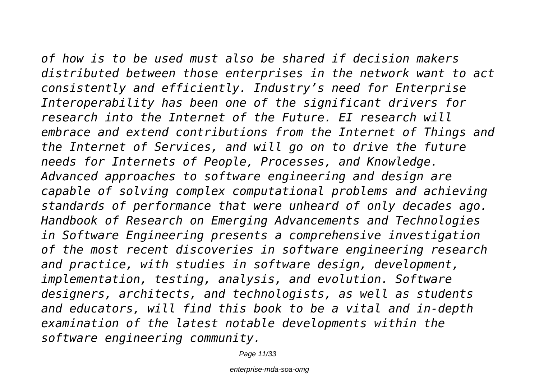*of how is to be used must also be shared if decision makers distributed between those enterprises in the network want to act consistently and efficiently. Industry's need for Enterprise Interoperability has been one of the significant drivers for research into the Internet of the Future. EI research will embrace and extend contributions from the Internet of Things and the Internet of Services, and will go on to drive the future needs for Internets of People, Processes, and Knowledge. Advanced approaches to software engineering and design are capable of solving complex computational problems and achieving standards of performance that were unheard of only decades ago. Handbook of Research on Emerging Advancements and Technologies in Software Engineering presents a comprehensive investigation of the most recent discoveries in software engineering research and practice, with studies in software design, development, implementation, testing, analysis, and evolution. Software designers, architects, and technologists, as well as students and educators, will find this book to be a vital and in-depth examination of the latest notable developments within the software engineering community.*

Page 11/33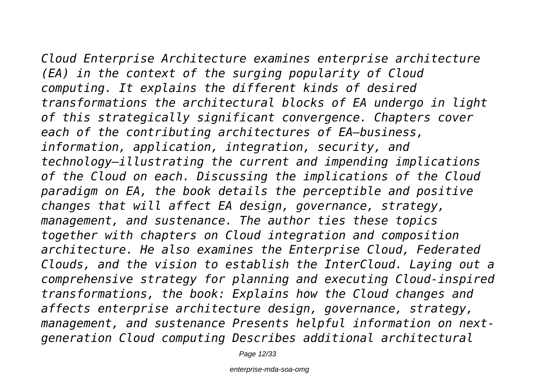*Cloud Enterprise Architecture examines enterprise architecture (EA) in the context of the surging popularity of Cloud computing. It explains the different kinds of desired transformations the architectural blocks of EA undergo in light of this strategically significant convergence. Chapters cover each of the contributing architectures of EA—business, information, application, integration, security, and technology—illustrating the current and impending implications of the Cloud on each. Discussing the implications of the Cloud paradigm on EA, the book details the perceptible and positive changes that will affect EA design, governance, strategy, management, and sustenance. The author ties these topics together with chapters on Cloud integration and composition architecture. He also examines the Enterprise Cloud, Federated Clouds, and the vision to establish the InterCloud. Laying out a comprehensive strategy for planning and executing Cloud-inspired transformations, the book: Explains how the Cloud changes and affects enterprise architecture design, governance, strategy, management, and sustenance Presents helpful information on nextgeneration Cloud computing Describes additional architectural*

Page 12/33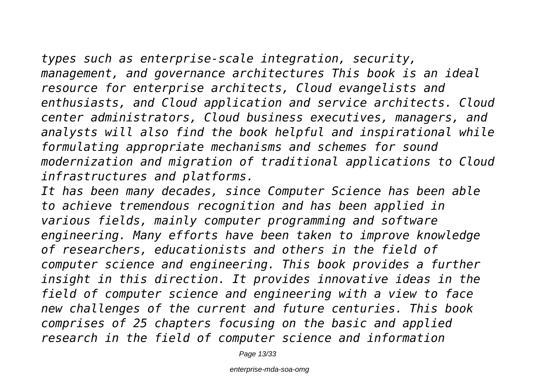*types such as enterprise-scale integration, security, management, and governance architectures This book is an ideal resource for enterprise architects, Cloud evangelists and enthusiasts, and Cloud application and service architects. Cloud center administrators, Cloud business executives, managers, and analysts will also find the book helpful and inspirational while formulating appropriate mechanisms and schemes for sound modernization and migration of traditional applications to Cloud infrastructures and platforms.*

*It has been many decades, since Computer Science has been able to achieve tremendous recognition and has been applied in various fields, mainly computer programming and software engineering. Many efforts have been taken to improve knowledge of researchers, educationists and others in the field of computer science and engineering. This book provides a further insight in this direction. It provides innovative ideas in the field of computer science and engineering with a view to face new challenges of the current and future centuries. This book comprises of 25 chapters focusing on the basic and applied research in the field of computer science and information*

Page 13/33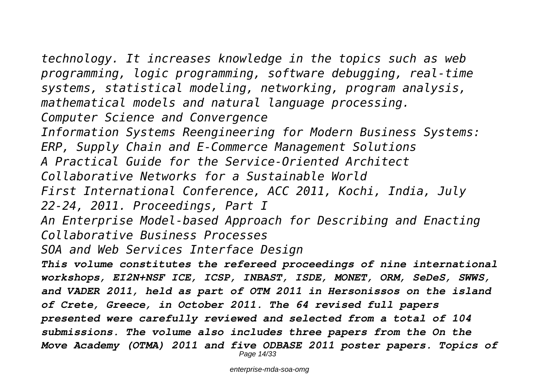*technology. It increases knowledge in the topics such as web programming, logic programming, software debugging, real-time systems, statistical modeling, networking, program analysis, mathematical models and natural language processing. Computer Science and Convergence Information Systems Reengineering for Modern Business Systems: ERP, Supply Chain and E-Commerce Management Solutions A Practical Guide for the Service-Oriented Architect Collaborative Networks for a Sustainable World First International Conference, ACC 2011, Kochi, India, July 22-24, 2011. Proceedings, Part I An Enterprise Model-based Approach for Describing and Enacting Collaborative Business Processes SOA and Web Services Interface Design This volume constitutes the refereed proceedings of nine international workshops, EI2N+NSF ICE, ICSP, INBAST, ISDE, MONET, ORM, SeDeS, SWWS, and VADER 2011, held as part of OTM 2011 in Hersonissos on the island of Crete, Greece, in October 2011. The 64 revised full papers presented were carefully reviewed and selected from a total of 104 submissions. The volume also includes three papers from the On the Move Academy (OTMA) 2011 and five ODBASE 2011 poster papers. Topics of* Page 14/33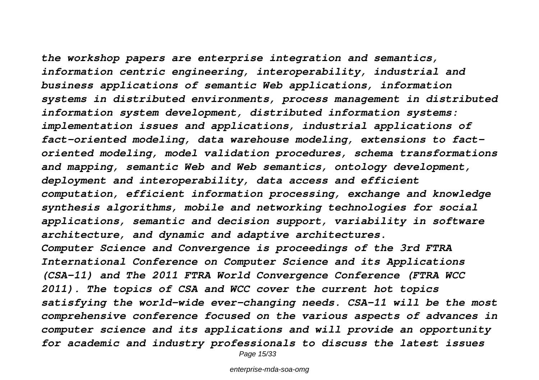*the workshop papers are enterprise integration and semantics, information centric engineering, interoperability, industrial and business applications of semantic Web applications, information systems in distributed environments, process management in distributed information system development, distributed information systems: implementation issues and applications, industrial applications of fact-oriented modeling, data warehouse modeling, extensions to factoriented modeling, model validation procedures, schema transformations and mapping, semantic Web and Web semantics, ontology development, deployment and interoperability, data access and efficient computation, efficient information processing, exchange and knowledge synthesis algorithms, mobile and networking technologies for social applications, semantic and decision support, variability in software architecture, and dynamic and adaptive architectures. Computer Science and Convergence is proceedings of the 3rd FTRA International Conference on Computer Science and its Applications (CSA-11) and The 2011 FTRA World Convergence Conference (FTRA WCC 2011). The topics of CSA and WCC cover the current hot topics satisfying the world-wide ever-changing needs. CSA-11 will be the most comprehensive conference focused on the various aspects of advances in computer science and its applications and will provide an opportunity for academic and industry professionals to discuss the latest issues*

Page 15/33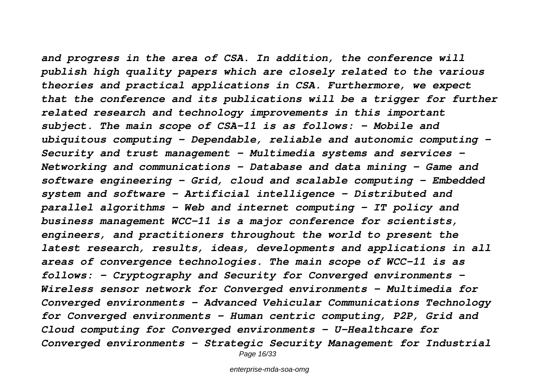*and progress in the area of CSA. In addition, the conference will publish high quality papers which are closely related to the various theories and practical applications in CSA. Furthermore, we expect that the conference and its publications will be a trigger for further related research and technology improvements in this important subject. The main scope of CSA-11 is as follows: - Mobile and ubiquitous computing - Dependable, reliable and autonomic computing - Security and trust management - Multimedia systems and services - Networking and communications - Database and data mining - Game and software engineering - Grid, cloud and scalable computing - Embedded system and software - Artificial intelligence - Distributed and parallel algorithms - Web and internet computing - IT policy and business management WCC-11 is a major conference for scientists, engineers, and practitioners throughout the world to present the latest research, results, ideas, developments and applications in all areas of convergence technologies. The main scope of WCC-11 is as follows: - Cryptography and Security for Converged environments - Wireless sensor network for Converged environments - Multimedia for Converged environments - Advanced Vehicular Communications Technology for Converged environments - Human centric computing, P2P, Grid and Cloud computing for Converged environments - U-Healthcare for Converged environments - Strategic Security Management for Industrial*

Page 16/33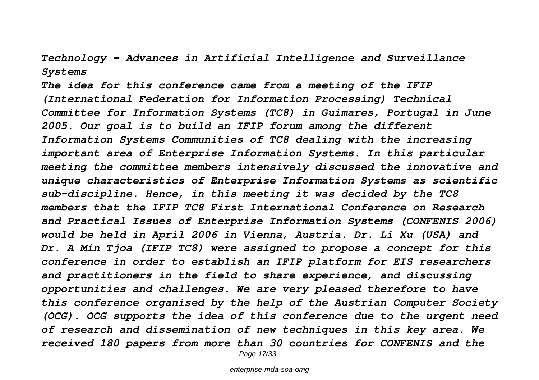### *Technology - Advances in Artificial Intelligence and Surveillance Systems*

*The idea for this conference came from a meeting of the IFIP (International Federation for Information Processing) Technical Committee for Information Systems (TC8) in Guimares, Portugal in June 2005. Our goal is to build an IFIP forum among the different Information Systems Communities of TC8 dealing with the increasing important area of Enterprise Information Systems. In this particular meeting the committee members intensively discussed the innovative and unique characteristics of Enterprise Information Systems as scientific sub-discipline. Hence, in this meeting it was decided by the TC8 members that the IFIP TC8 First International Conference on Research and Practical Issues of Enterprise Information Systems (CONFENIS 2006) would be held in April 2006 in Vienna, Austria. Dr. Li Xu (USA) and Dr. A Min Tjoa (IFIP TC8) were assigned to propose a concept for this conference in order to establish an IFIP platform for EIS researchers and practitioners in the field to share experience, and discussing opportunities and challenges. We are very pleased therefore to have this conference organised by the help of the Austrian Computer Society (OCG). OCG supports the idea of this conference due to the urgent need of research and dissemination of new techniques in this key area. We received 180 papers from more than 30 countries for CONFENIS and the*

Page 17/33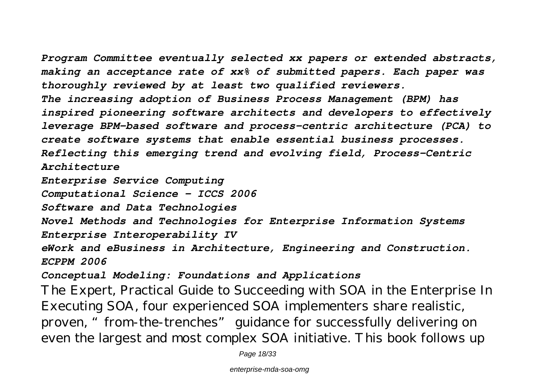*Program Committee eventually selected xx papers or extended abstracts, making an acceptance rate of xx% of submitted papers. Each paper was thoroughly reviewed by at least two qualified reviewers. The increasing adoption of Business Process Management (BPM) has inspired pioneering software architects and developers to effectively leverage BPM-based software and process-centric architecture (PCA) to create software systems that enable essential business processes. Reflecting this emerging trend and evolving field, Process-Centric Architecture Enterprise Service Computing Computational Science - ICCS 2006 Software and Data Technologies Novel Methods and Technologies for Enterprise Information Systems Enterprise Interoperability IV*

*eWork and eBusiness in Architecture, Engineering and Construction. ECPPM 2006*

## *Conceptual Modeling: Foundations and Applications*

The Expert, Practical Guide to Succeeding with SOA in the Enterprise In Executing SOA, four experienced SOA implementers share realistic, proven, "from-the-trenches" guidance for successfully delivering on even the largest and most complex SOA initiative. This book follows up

Page 18/33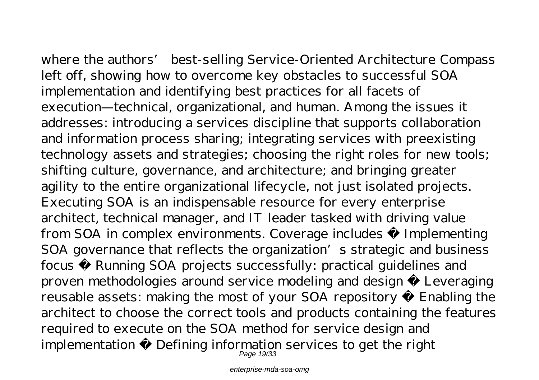where the authors' best-selling Service-Oriented Architecture Compass left off, showing how to overcome key obstacles to successful SOA implementation and identifying best practices for all facets of execution—technical, organizational, and human. Among the issues it addresses: introducing a services discipline that supports collaboration and information process sharing; integrating services with preexisting technology assets and strategies; choosing the right roles for new tools; shifting culture, governance, and architecture; and bringing greater agility to the entire organizational lifecycle, not just isolated projects. Executing SOA is an indispensable resource for every enterprise architect, technical manager, and IT leader tasked with driving value from SOA in complex environments. Coverage includes · Implementing SOA governance that reflects the organization's strategic and business focus · Running SOA projects successfully: practical guidelines and proven methodologies around service modeling and design · Leveraging reusable assets: making the most of your SOA repository · Enabling the architect to choose the correct tools and products containing the features required to execute on the SOA method for service design and implementation · Defining information services to get the right Page 19/33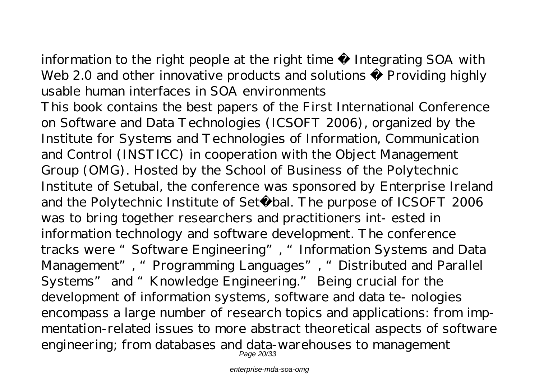information to the right people at the right time  $\cdot$  Integrating SOA with Web 2.0 and other innovative products and solutions  $\cdot$  Providing highly usable human interfaces in SOA environments

This book contains the best papers of the First International Conference on Software and Data Technologies (ICSOFT 2006), organized by the Institute for Systems and Technologies of Information, Communication and Control (INSTICC) in cooperation with the Object Management Group (OMG). Hosted by the School of Business of the Polytechnic Institute of Setubal, the conference was sponsored by Enterprise Ireland and the Polytechnic Institute of Setú bal. The purpose of ICSOFT 2006 was to bring together researchers and practitioners int- ested in information technology and software development. The conference tracks were "Software Engineering", "Information Systems and Data Management", "Programming Languages", "Distributed and Parallel Systems" and "Knowledge Engineering." Being crucial for the development of information systems, software and data te- nologies encompass a large number of research topics and applications: from impmentation-related issues to more abstract theoretical aspects of software engineering; from databases and data-warehouses to management Page 20/33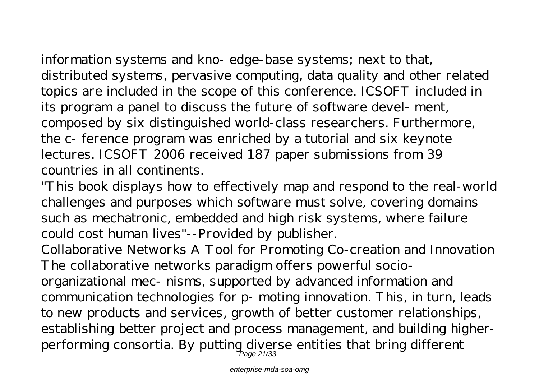information systems and kno- edge-base systems; next to that, distributed systems, pervasive computing, data quality and other related topics are included in the scope of this conference. ICSOFT included in its program a panel to discuss the future of software devel- ment, composed by six distinguished world-class researchers. Furthermore, the c- ference program was enriched by a tutorial and six keynote lectures. ICSOFT 2006 received 187 paper submissions from 39 countries in all continents.

"This book displays how to effectively map and respond to the real-world challenges and purposes which software must solve, covering domains such as mechatronic, embedded and high risk systems, where failure could cost human lives"--Provided by publisher.

Collaborative Networks A Tool for Promoting Co-creation and Innovation The collaborative networks paradigm offers powerful socioorganizational mec- nisms, supported by advanced information and communication technologies for p- moting innovation. This, in turn, leads to new products and services, growth of better customer relationships, establishing better project and process management, and building higherperforming consortia. By putting diverse entities that bring different Page 21/33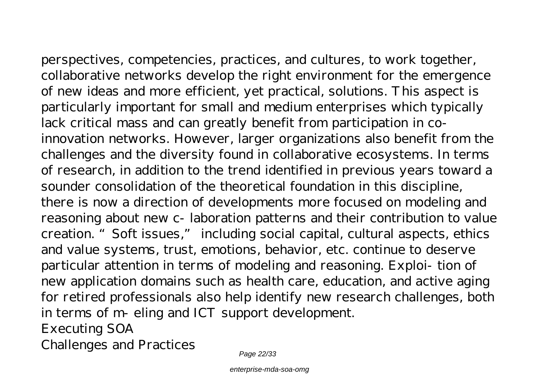perspectives, competencies, practices, and cultures, to work together, collaborative networks develop the right environment for the emergence of new ideas and more efficient, yet practical, solutions. This aspect is particularly important for small and medium enterprises which typically lack critical mass and can greatly benefit from participation in coinnovation networks. However, larger organizations also benefit from the challenges and the diversity found in collaborative ecosystems. In terms of research, in addition to the trend identified in previous years toward a sounder consolidation of the theoretical foundation in this discipline, there is now a direction of developments more focused on modeling and reasoning about new c- laboration patterns and their contribution to value creation. "Soft issues," including social capital, cultural aspects, ethics and value systems, trust, emotions, behavior, etc. continue to deserve particular attention in terms of modeling and reasoning. Exploi- tion of new application domains such as health care, education, and active aging for retired professionals also help identify new research challenges, both in terms of m- eling and ICT support development. Executing SOA

Challenges and Practices

Page 22/33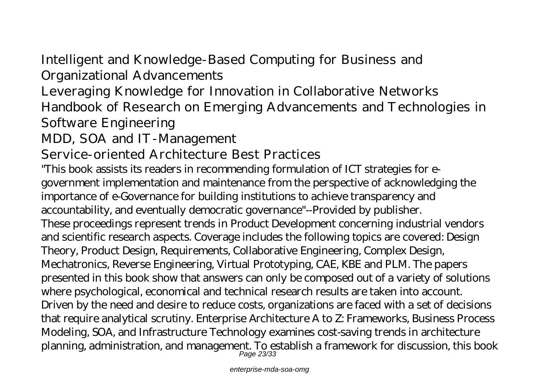Intelligent and Knowledge-Based Computing for Business and Organizational Advancements

Leveraging Knowledge for Innovation in Collaborative Networks Handbook of Research on Emerging Advancements and Technologies in Software Engineering

MDD, SOA and IT-Management

Service-oriented Architecture Best Practices

"This book assists its readers in recommending formulation of ICT strategies for egovernment implementation and maintenance from the perspective of acknowledging the importance of e-Governance for building institutions to achieve transparency and accountability, and eventually democratic governance"--Provided by publisher. These proceedings represent trends in Product Development concerning industrial vendors and scientific research aspects. Coverage includes the following topics are covered: Design Theory, Product Design, Requirements, Collaborative Engineering, Complex Design, Mechatronics, Reverse Engineering, Virtual Prototyping, CAE, KBE and PLM. The papers presented in this book show that answers can only be composed out of a variety of solutions where psychological, economical and technical research results are taken into account. Driven by the need and desire to reduce costs, organizations are faced with a set of decisions that require analytical scrutiny. Enterprise Architecture A to Z: Frameworks, Business Process Modeling, SOA, and Infrastructure Technology examines cost-saving trends in architecture planning, administration, and management. To establish a framework for discussion, this book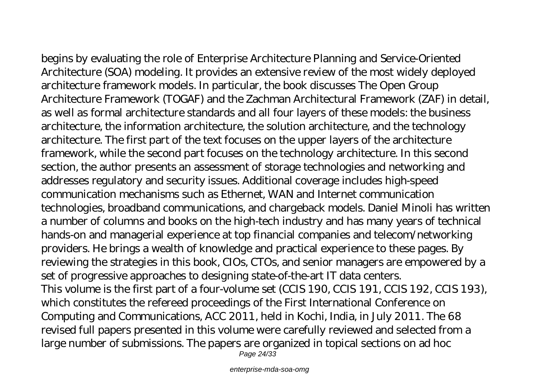begins by evaluating the role of Enterprise Architecture Planning and Service-Oriented Architecture (SOA) modeling. It provides an extensive review of the most widely deployed architecture framework models. In particular, the book discusses The Open Group Architecture Framework (TOGAF) and the Zachman Architectural Framework (ZAF) in detail, as well as formal architecture standards and all four layers of these models: the business architecture, the information architecture, the solution architecture, and the technology architecture. The first part of the text focuses on the upper layers of the architecture framework, while the second part focuses on the technology architecture. In this second section, the author presents an assessment of storage technologies and networking and addresses regulatory and security issues. Additional coverage includes high-speed communication mechanisms such as Ethernet, WAN and Internet communication technologies, broadband communications, and chargeback models. Daniel Minoli has written a number of columns and books on the high-tech industry and has many years of technical hands-on and managerial experience at top financial companies and telecom/networking providers. He brings a wealth of knowledge and practical experience to these pages. By reviewing the strategies in this book, CIOs, CTOs, and senior managers are empowered by a set of progressive approaches to designing state-of-the-art IT data centers. This volume is the first part of a four-volume set (CCIS 190, CCIS 191, CCIS 192, CCIS 193), which constitutes the refereed proceedings of the First International Conference on Computing and Communications, ACC 2011, held in Kochi, India, in July 2011. The 68 revised full papers presented in this volume were carefully reviewed and selected from a large number of submissions. The papers are organized in topical sections on ad hoc

Page 24/33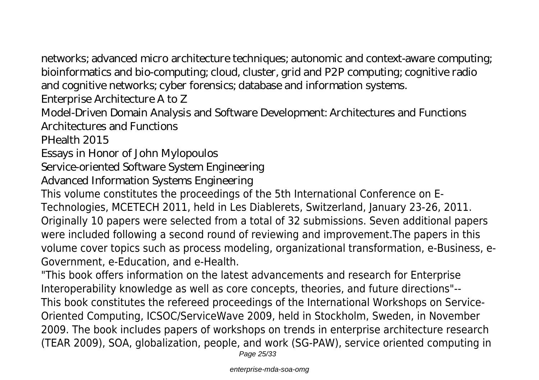networks; advanced micro architecture techniques; autonomic and context-aware computing; bioinformatics and bio-computing; cloud, cluster, grid and P2P computing; cognitive radio and cognitive networks; cyber forensics; database and information systems.

Enterprise Architecture A to Z

Model-Driven Domain Analysis and Software Development: Architectures and Functions Architectures and Functions

PHealth 2015

Essays in Honor of John Mylopoulos

Service-oriented Software System Engineering

Advanced Information Systems Engineering

This volume constitutes the proceedings of the 5th International Conference on E-Technologies, MCETECH 2011, held in Les Diablerets, Switzerland, January 23-26, 2011. Originally 10 papers were selected from a total of 32 submissions. Seven additional papers were included following a second round of reviewing and improvement.The papers in this volume cover topics such as process modeling, organizational transformation, e-Business, e-Government, e-Education, and e-Health.

"This book offers information on the latest advancements and research for Enterprise Interoperability knowledge as well as core concepts, theories, and future directions"-- This book constitutes the refereed proceedings of the International Workshops on Service-Oriented Computing, ICSOC/ServiceWave 2009, held in Stockholm, Sweden, in November 2009. The book includes papers of workshops on trends in enterprise architecture research (TEAR 2009), SOA, globalization, people, and work (SG-PAW), service oriented computing in

Page 25/33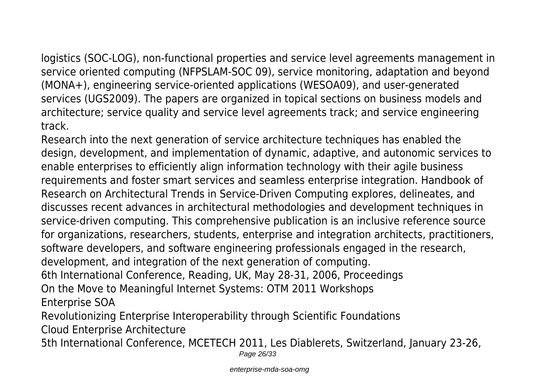logistics (SOC-LOG), non-functional properties and service level agreements management in service oriented computing (NFPSLAM-SOC 09), service monitoring, adaptation and beyond (MONA+), engineering service-oriented applications (WESOA09), and user-generated services (UGS2009). The papers are organized in topical sections on business models and architecture; service quality and service level agreements track; and service engineering track.

Research into the next generation of service architecture techniques has enabled the design, development, and implementation of dynamic, adaptive, and autonomic services to enable enterprises to efficiently align information technology with their agile business requirements and foster smart services and seamless enterprise integration. Handbook of Research on Architectural Trends in Service-Driven Computing explores, delineates, and discusses recent advances in architectural methodologies and development techniques in service-driven computing. This comprehensive publication is an inclusive reference source for organizations, researchers, students, enterprise and integration architects, practitioners, software developers, and software engineering professionals engaged in the research, development, and integration of the next generation of computing. 6th International Conference, Reading, UK, May 28-31, 2006, Proceedings On the Move to Meaningful Internet Systems: OTM 2011 Workshops Enterprise SOA Revolutionizing Enterprise Interoperability through Scientific Foundations Cloud Enterprise Architecture 5th International Conference, MCETECH 2011, Les Diablerets, Switzerland, January 23-26,

Page 26/33

enterprise-mda-soa-omg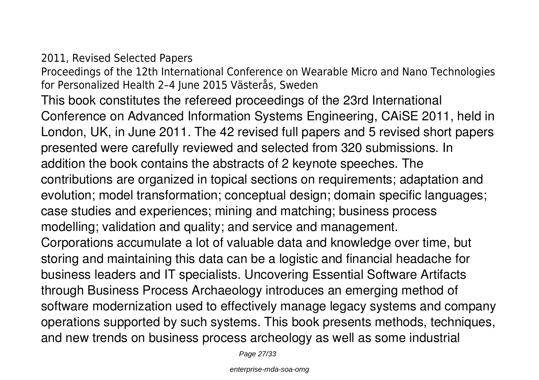2011, Revised Selected Papers

Proceedings of the 12th International Conference on Wearable Micro and Nano Technologies for Personalized Health 2–4 June 2015 Västerås, Sweden

This book constitutes the refereed proceedings of the 23rd International Conference on Advanced Information Systems Engineering, CAiSE 2011, held in London, UK, in June 2011. The 42 revised full papers and 5 revised short papers presented were carefully reviewed and selected from 320 submissions. In addition the book contains the abstracts of 2 keynote speeches. The contributions are organized in topical sections on requirements; adaptation and evolution; model transformation; conceptual design; domain specific languages; case studies and experiences; mining and matching; business process modelling; validation and quality; and service and management. Corporations accumulate a lot of valuable data and knowledge over time, but storing and maintaining this data can be a logistic and financial headache for business leaders and IT specialists. Uncovering Essential Software Artifacts through Business Process Archaeology introduces an emerging method of software modernization used to effectively manage legacy systems and company operations supported by such systems. This book presents methods, techniques, and new trends on business process archeology as well as some industrial

Page 27/33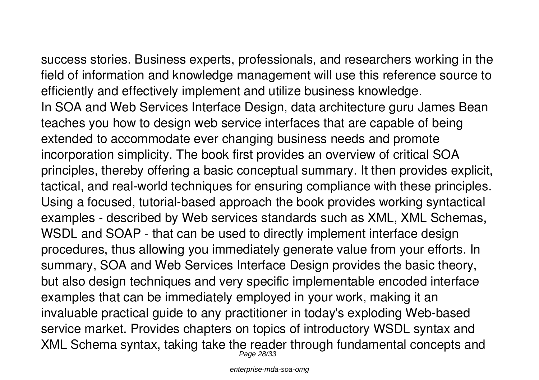success stories. Business experts, professionals, and researchers working in the field of information and knowledge management will use this reference source to efficiently and effectively implement and utilize business knowledge. In SOA and Web Services Interface Design, data architecture guru James Bean teaches you how to design web service interfaces that are capable of being extended to accommodate ever changing business needs and promote incorporation simplicity. The book first provides an overview of critical SOA principles, thereby offering a basic conceptual summary. It then provides explicit, tactical, and real-world techniques for ensuring compliance with these principles. Using a focused, tutorial-based approach the book provides working syntactical examples - described by Web services standards such as XML, XML Schemas, WSDL and SOAP - that can be used to directly implement interface design procedures, thus allowing you immediately generate value from your efforts. In summary, SOA and Web Services Interface Design provides the basic theory, but also design techniques and very specific implementable encoded interface examples that can be immediately employed in your work, making it an invaluable practical guide to any practitioner in today's exploding Web-based service market. Provides chapters on topics of introductory WSDL syntax and XML Schema syntax, taking take the reader through fundamental concepts and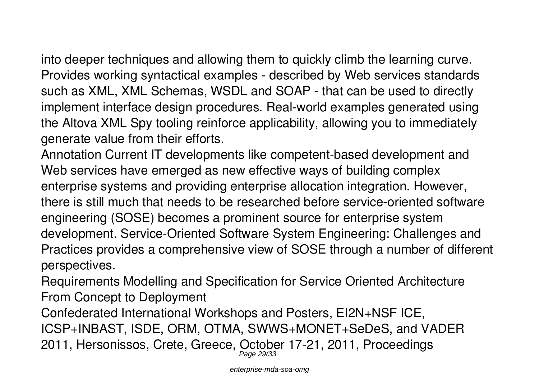into deeper techniques and allowing them to quickly climb the learning curve. Provides working syntactical examples - described by Web services standards such as XML, XML Schemas, WSDL and SOAP - that can be used to directly implement interface design procedures. Real-world examples generated using the Altova XML Spy tooling reinforce applicability, allowing you to immediately generate value from their efforts.

Annotation Current IT developments like competent-based development and Web services have emerged as new effective ways of building complex enterprise systems and providing enterprise allocation integration. However, there is still much that needs to be researched before service-oriented software engineering (SOSE) becomes a prominent source for enterprise system development. Service-Oriented Software System Engineering: Challenges and Practices provides a comprehensive view of SOSE through a number of different perspectives.

Requirements Modelling and Specification for Service Oriented Architecture From Concept to Deployment

Confederated International Workshops and Posters, EI2N+NSF ICE, ICSP+INBAST, ISDE, ORM, OTMA, SWWS+MONET+SeDeS, and VADER 2011, Hersonissos, Crete, Greece, October 17-21, 2011, Proceedings<br><sub>Page 29/33</sub>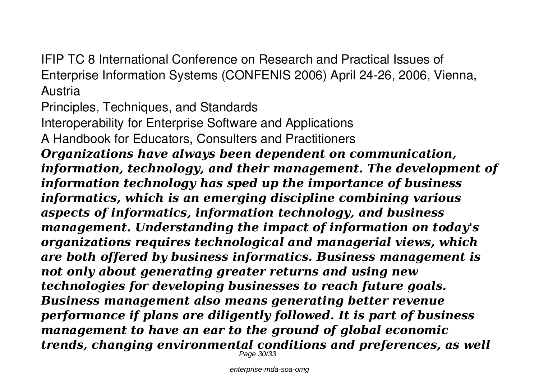IFIP TC 8 International Conference on Research and Practical Issues of Enterprise Information Systems (CONFENIS 2006) April 24-26, 2006, Vienna, Austria

Principles, Techniques, and Standards Interoperability for Enterprise Software and Applications A Handbook for Educators, Consulters and Practitioners *Organizations have always been dependent on communication, information, technology, and their management. The development of information technology has sped up the importance of business informatics, which is an emerging discipline combining various aspects of informatics, information technology, and business management. Understanding the impact of information on today's organizations requires technological and managerial views, which are both offered by business informatics. Business management is not only about generating greater returns and using new technologies for developing businesses to reach future goals. Business management also means generating better revenue performance if plans are diligently followed. It is part of business management to have an ear to the ground of global economic trends, changing environmental conditions and preferences, as well* Page 30/33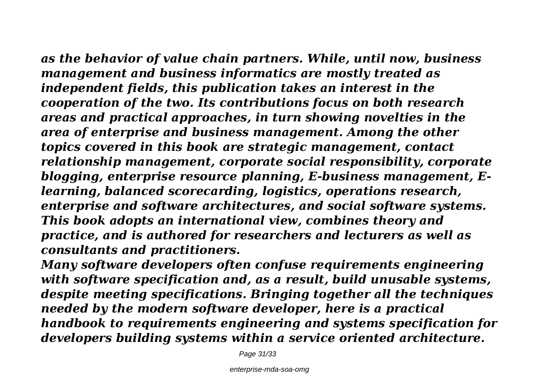*as the behavior of value chain partners. While, until now, business management and business informatics are mostly treated as independent fields, this publication takes an interest in the cooperation of the two. Its contributions focus on both research areas and practical approaches, in turn showing novelties in the area of enterprise and business management. Among the other topics covered in this book are strategic management, contact relationship management, corporate social responsibility, corporate blogging, enterprise resource planning, E-business management, Elearning, balanced scorecarding, logistics, operations research, enterprise and software architectures, and social software systems. This book adopts an international view, combines theory and practice, and is authored for researchers and lecturers as well as consultants and practitioners.*

*Many software developers often confuse requirements engineering with software specification and, as a result, build unusable systems, despite meeting specifications. Bringing together all the techniques needed by the modern software developer, here is a practical handbook to requirements engineering and systems specification for developers building systems within a service oriented architecture.*

Page 31/33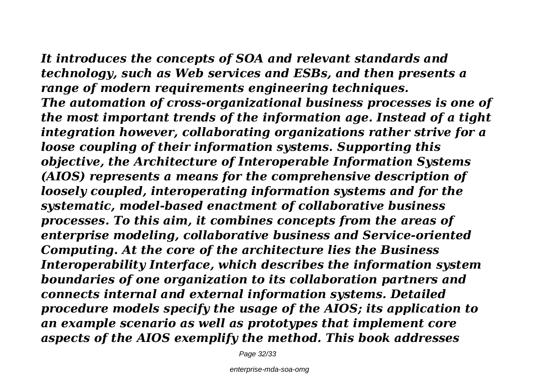*It introduces the concepts of SOA and relevant standards and technology, such as Web services and ESBs, and then presents a range of modern requirements engineering techniques. The automation of cross-organizational business processes is one of the most important trends of the information age. Instead of a tight integration however, collaborating organizations rather strive for a loose coupling of their information systems. Supporting this objective, the Architecture of Interoperable Information Systems (AIOS) represents a means for the comprehensive description of loosely coupled, interoperating information systems and for the systematic, model-based enactment of collaborative business processes. To this aim, it combines concepts from the areas of enterprise modeling, collaborative business and Service-oriented Computing. At the core of the architecture lies the Business Interoperability Interface, which describes the information system boundaries of one organization to its collaboration partners and connects internal and external information systems. Detailed procedure models specify the usage of the AIOS; its application to an example scenario as well as prototypes that implement core aspects of the AIOS exemplify the method. This book addresses*

Page 32/33